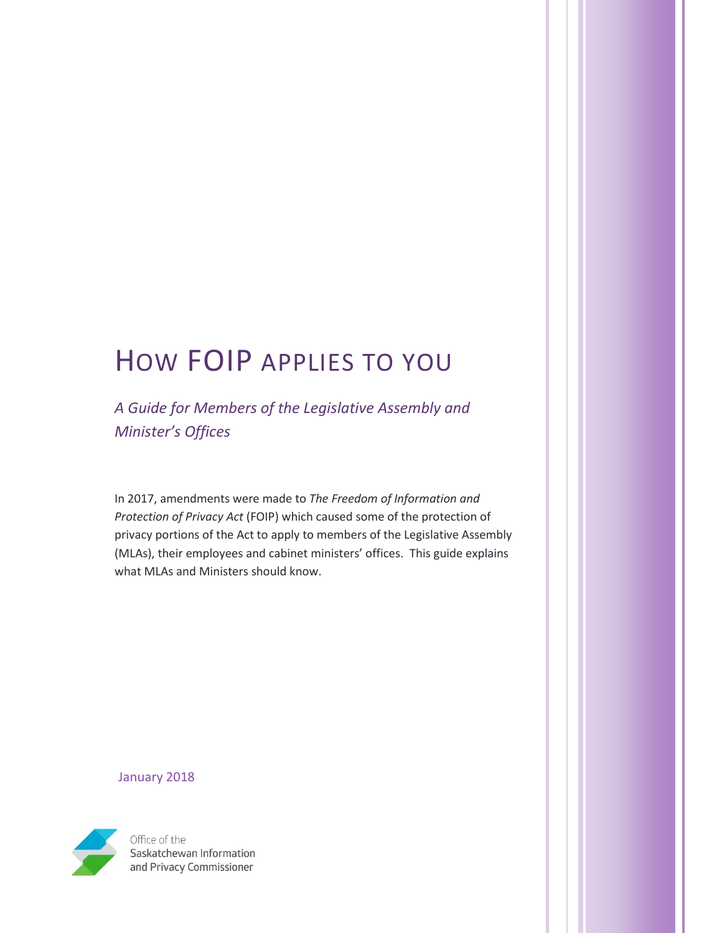# HOW FOIP APPLIES TO YOU

*A Guide for Members of the Legislative Assembly and Minister's Offices*

In 2017, amendments were made to *The Freedom of Information and Protection of Privacy Act* (FOIP) which caused some of the protection of privacy portions of the Act to apply to members of the Legislative Assembly (MLAs), their employees and cabinet ministers' offices. This guide explains what MLAs and Ministers should know.

January 2018



Office of the Saskatchewan Information and Privacy Commissioner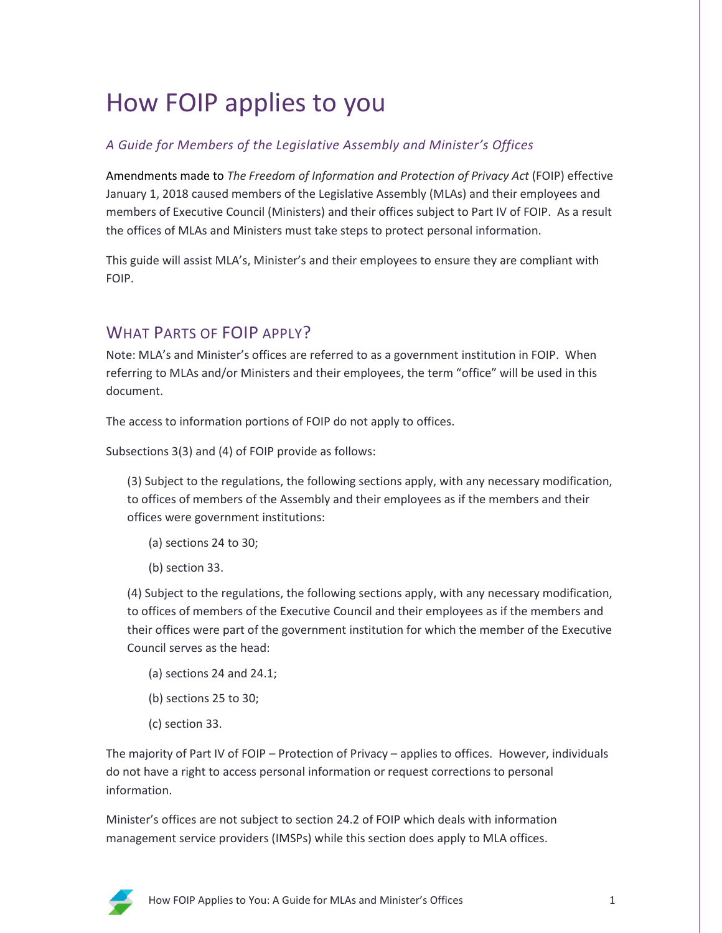# How FOIP applies to you

#### *A Guide for Members of the Legislative Assembly and Minister's Offices*

Amendments made to *The Freedom of Information and Protection of Privacy Act* (FOIP) effective January 1, 2018 caused members of the Legislative Assembly (MLAs) and their employees and members of Executive Council (Ministers) and their offices subject to Part IV of FOIP. As a result the offices of MLAs and Ministers must take steps to protect personal information.

This guide will assist MLA's, Minister's and their employees to ensure they are compliant with FOIP.

## WHAT PARTS OF FOIP APPLY?

Note: MLA's and Minister's offices are referred to as a government institution in FOIP. When referring to MLAs and/or Ministers and their employees, the term "office" will be used in this document.

The access to information portions of FOIP do not apply to offices.

Subsections 3(3) and (4) of FOIP provide as follows:

(3) Subject to the regulations, the following sections apply, with any necessary modification, to offices of members of the Assembly and their employees as if the members and their offices were government institutions:

- (a) sections 24 to 30;
- (b) section 33.

(4) Subject to the regulations, the following sections apply, with any necessary modification, to offices of members of the Executive Council and their employees as if the members and their offices were part of the government institution for which the member of the Executive Council serves as the head:

- (a) sections 24 and 24.1;
- (b) sections 25 to 30;
- (c) section 33.

The majority of Part IV of FOIP – Protection of Privacy – applies to offices. However, individuals do not have a right to access personal information or request corrections to personal information.

Minister's offices are not subject to section 24.2 of FOIP which deals with information management service providers (IMSPs) while this section does apply to MLA offices.

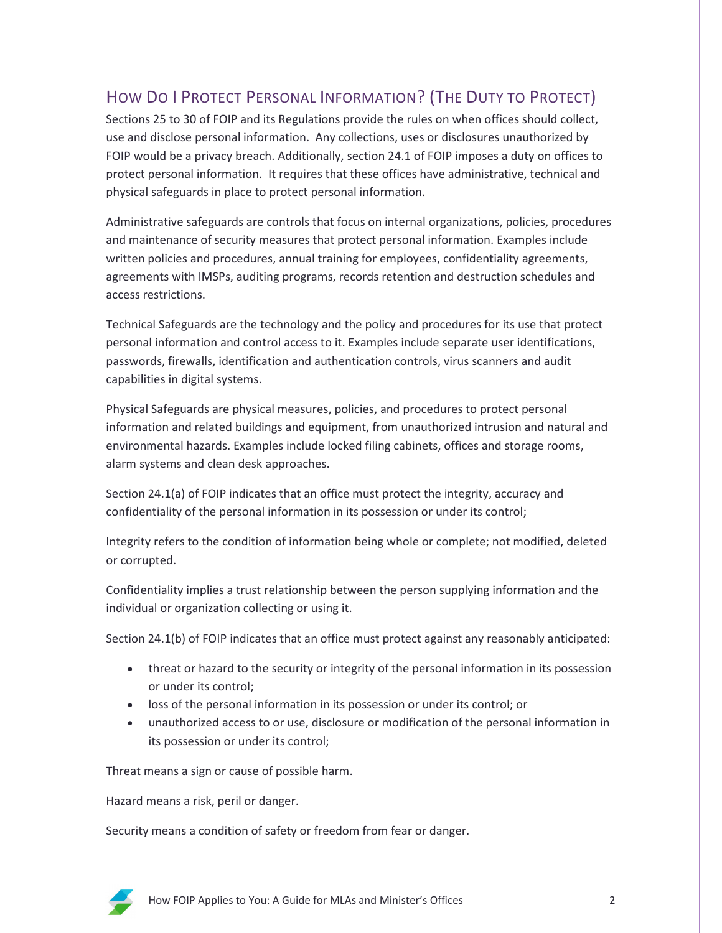# HOW DO I PROTECT PERSONAL INFORMATION? (THE DUTY TO PROTECT)

Sections 25 to 30 of FOIP and its Regulations provide the rules on when offices should collect, use and disclose personal information. Any collections, uses or disclosures unauthorized by FOIP would be a privacy breach. Additionally, section 24.1 of FOIP imposes a duty on offices to protect personal information. It requires that these offices have administrative, technical and physical safeguards in place to protect personal information.

Administrative safeguards are controls that focus on internal organizations, policies, procedures and maintenance of security measures that protect personal information. Examples include written policies and procedures, annual training for employees, confidentiality agreements, agreements with IMSPs, auditing programs, records retention and destruction schedules and access restrictions.

Technical Safeguards are the technology and the policy and procedures for its use that protect personal information and control access to it. Examples include separate user identifications, passwords, firewalls, identification and authentication controls, virus scanners and audit capabilities in digital systems.

Physical Safeguards are physical measures, policies, and procedures to protect personal information and related buildings and equipment, from unauthorized intrusion and natural and environmental hazards. Examples include locked filing cabinets, offices and storage rooms, alarm systems and clean desk approaches.

Section 24.1(a) of FOIP indicates that an office must protect the integrity, accuracy and confidentiality of the personal information in its possession or under its control;

Integrity refers to the condition of information being whole or complete; not modified, deleted or corrupted.

Confidentiality implies a trust relationship between the person supplying information and the individual or organization collecting or using it.

Section 24.1(b) of FOIP indicates that an office must protect against any reasonably anticipated:

- threat or hazard to the security or integrity of the personal information in its possession or under its control;
- loss of the personal information in its possession or under its control; or
- unauthorized access to or use, disclosure or modification of the personal information in its possession or under its control;

Threat means a sign or cause of possible harm.

Hazard means a risk, peril or danger.

Security means a condition of safety or freedom from fear or danger.

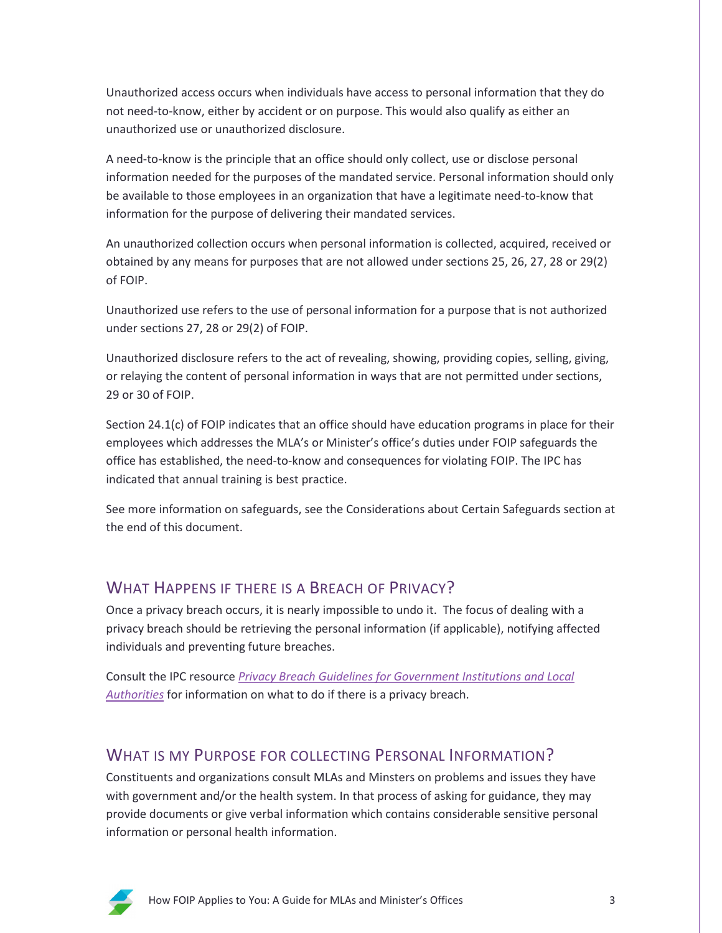Unauthorized access occurs when individuals have access to personal information that they do not need-to-know, either by accident or on purpose. This would also qualify as either an unauthorized use or unauthorized disclosure.

A need-to-know is the principle that an office should only collect, use or disclose personal information needed for the purposes of the mandated service. Personal information should only be available to those employees in an organization that have a legitimate need-to-know that information for the purpose of delivering their mandated services.

An unauthorized collection occurs when personal information is collected, acquired, received or obtained by any means for purposes that are not allowed under sections 25, 26, 27, 28 or 29(2) of FOIP.

Unauthorized use refers to the use of personal information for a purpose that is not authorized under sections 27, 28 or 29(2) of FOIP.

Unauthorized disclosure refers to the act of revealing, showing, providing copies, selling, giving, or relaying the content of personal information in ways that are not permitted under sections, 29 or 30 of FOIP.

Section 24.1(c) of FOIP indicates that an office should have education programs in place for their employees which addresses the MLA's or Minister's office's duties under FOIP safeguards the office has established, the need-to-know and consequences for violating FOIP. The IPC has indicated that annual training is best practice.

See more information on safeguards, see the Considerations about Certain Safeguards section at the end of this document.

## WHAT HAPPENS IF THERE IS A BREACH OF PRIVACY?

Once a privacy breach occurs, it is nearly impossible to undo it. The focus of dealing with a privacy breach should be retrieving the personal information (if applicable), notifying affected individuals and preventing future breaches.

Consult the IPC resource *[Privacy Breach Guidelines for Government Institutions and Local](https://oipc.sk.ca/assets/privacy-breach-guidelines-for-government-institutions-and-local-authorities.pdf)  [Authorities](https://oipc.sk.ca/assets/privacy-breach-guidelines-for-government-institutions-and-local-authorities.pdf)* for information on what to do if there is a privacy breach.

## WHAT IS MY PURPOSE FOR COLLECTING PERSONAL INFORMATION?

Constituents and organizations consult MLAs and Minsters on problems and issues they have with government and/or the health system. In that process of asking for guidance, they may provide documents or give verbal information which contains considerable sensitive personal information or personal health information.

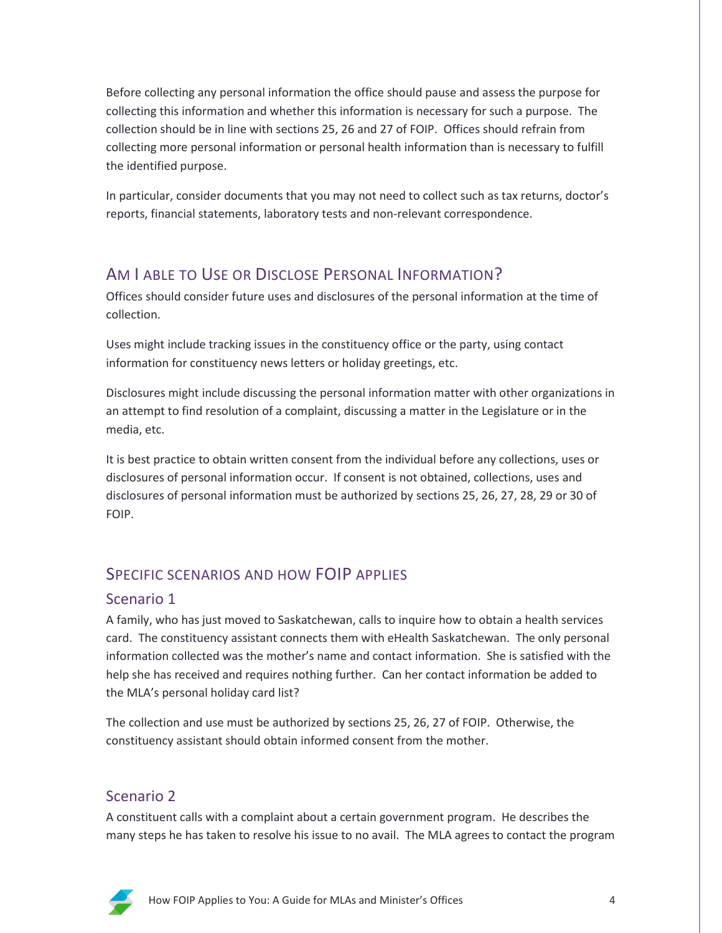Before collecting any personal information the office should pause and assess the purpose for collecting this information and whether this information is necessary for such a purpose. The collection should be in line with sections 25, 26 and 27 of FOIP. Offices should refrain from collecting more personal information or personal health information than is necessary to fulfill the identified purpose.

In particular, consider documents that you may not need to collect such as tax returns, doctor's reports, financial statements, laboratory tests and non-relevant correspondence.

## AM I ABLE TO USE OR DISCLOSE PERSONAL INFORMATION?

Offices should consider future uses and disclosures of the personal information at the time of collection.

Uses might include tracking issues in the constituency office or the party, using contact information for constituency news letters or holiday greetings, etc.

Disclosures might include discussing the personal information matter with other organizations in an attempt to find resolution of a complaint, discussing a matter in the Legislature or in the media, etc.

It is best practice to obtain written consent from the individual before any collections, uses or disclosures of personal information occur. If consent is not obtained, collections, uses and disclosures of personal information must be authorized by sections 25, 26, 27, 28, 29 or 30 of FOIP.

# SPECIFIC SCENARIOS AND HOW FOIP APPLIES

## Scenario 1

A family, who has just moved to Saskatchewan, calls to inquire how to obtain a health services card. The constituency assistant connects them with eHealth Saskatchewan. The only personal information collected was the mother's name and contact information. She is satisfied with the help she has received and requires nothing further. Can her contact information be added to the MLA's personal holiday card list?

The collection and use must be authorized by sections 25, 26, 27 of FOIP. Otherwise, the constituency assistant should obtain informed consent from the mother.

# Scenario 2

A constituent calls with a complaint about a certain government program. He describes the many steps he has taken to resolve his issue to no avail. The MLA agrees to contact the program

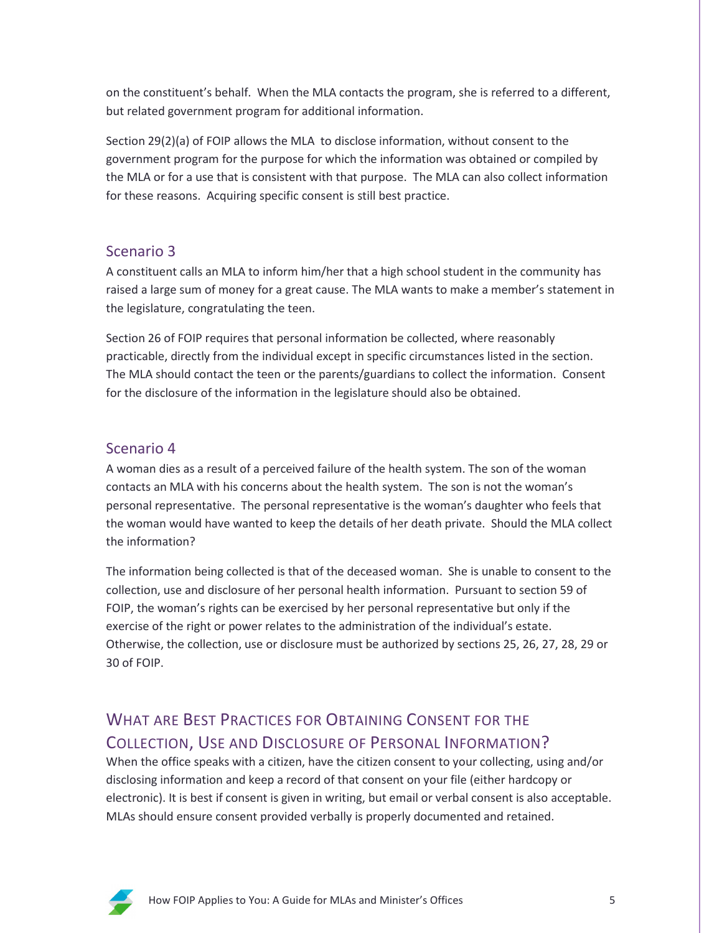on the constituent's behalf. When the MLA contacts the program, she is referred to a different, but related government program for additional information.

Section 29(2)(a) of FOIP allows the MLA to disclose information, without consent to the government program for the purpose for which the information was obtained or compiled by the MLA or for a use that is consistent with that purpose. The MLA can also collect information for these reasons. Acquiring specific consent is still best practice.

#### Scenario 3

A constituent calls an MLA to inform him/her that a high school student in the community has raised a large sum of money for a great cause. The MLA wants to make a member's statement in the legislature, congratulating the teen.

Section 26 of FOIP requires that personal information be collected, where reasonably practicable, directly from the individual except in specific circumstances listed in the section. The MLA should contact the teen or the parents/guardians to collect the information. Consent for the disclosure of the information in the legislature should also be obtained.

#### Scenario 4

A woman dies as a result of a perceived failure of the health system. The son of the woman contacts an MLA with his concerns about the health system. The son is not the woman's personal representative. The personal representative is the woman's daughter who feels that the woman would have wanted to keep the details of her death private. Should the MLA collect the information?

The information being collected is that of the deceased woman. She is unable to consent to the collection, use and disclosure of her personal health information. Pursuant to section 59 of FOIP, the woman's rights can be exercised by her personal representative but only if the exercise of the right or power relates to the administration of the individual's estate. Otherwise, the collection, use or disclosure must be authorized by sections 25, 26, 27, 28, 29 or 30 of FOIP.

# WHAT ARE BEST PRACTICES FOR OBTAINING CONSENT FOR THE COLLECTION, USE AND DISCLOSURE OF PERSONAL INFORMATION?

When the office speaks with a citizen, have the citizen consent to your collecting, using and/or disclosing information and keep a record of that consent on your file (either hardcopy or electronic). It is best if consent is given in writing, but email or verbal consent is also acceptable. MLAs should ensure consent provided verbally is properly documented and retained.

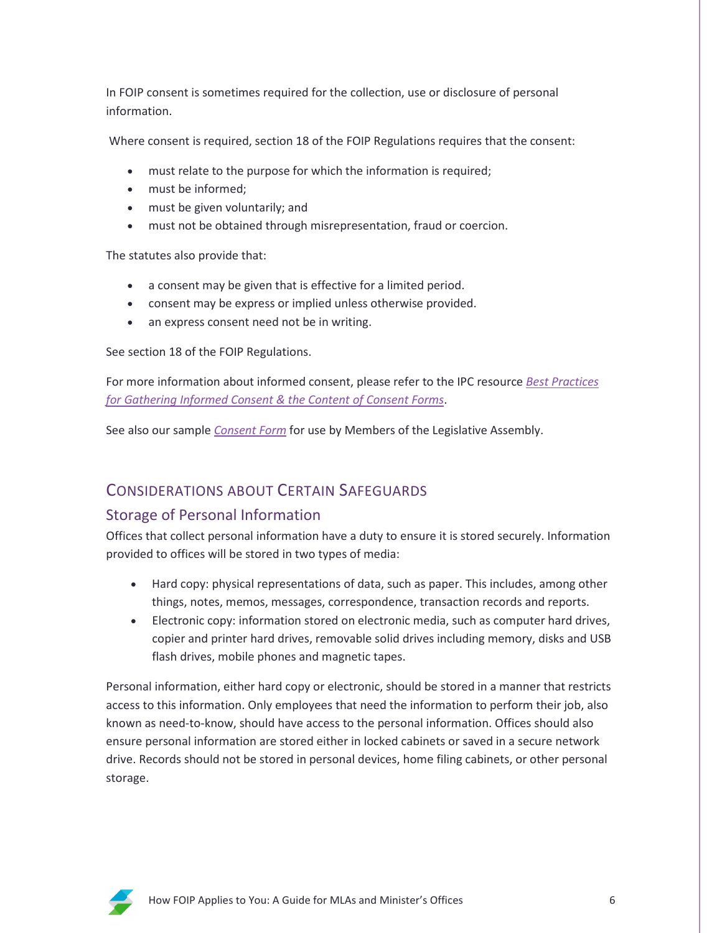In FOIP consent is sometimes required for the collection, use or disclosure of personal information.

Where consent is required, section 18 of the FOIP Regulations requires that the consent:

- must relate to the purpose for which the information is required;
- must be informed;
- must be given voluntarily; and
- must not be obtained through misrepresentation, fraud or coercion.

The statutes also provide that:

- a consent may be given that is effective for a limited period.
- consent may be express or implied unless otherwise provided.
- an express consent need not be in writing.

See section 18 of the FOIP Regulations.

For more information about informed consent, please refer to the IPC resource *[Best Practices](https://oipc.sk.ca/assets/best-practices-for-gathering-informed-consent.pdf)  [for Gathering Informed Consent & the Content of Consent Forms](https://oipc.sk.ca/assets/best-practices-for-gathering-informed-consent.pdf)*.

See also our sample *[Consent Form](https://oipc.sk.ca/assets/mla-consent-form.pdf)* for use by Members of the Legislative Assembly.

## CONSIDERATIONS ABOUT CERTAIN SAFEGUARDS

#### Storage of Personal Information

Offices that collect personal information have a duty to ensure it is stored securely. Information provided to offices will be stored in two types of media:

- Hard copy: physical representations of data, such as paper. This includes, among other things, notes, memos, messages, correspondence, transaction records and reports.
- Electronic copy: information stored on electronic media, such as computer hard drives, copier and printer hard drives, removable solid drives including memory, disks and USB flash drives, mobile phones and magnetic tapes.

Personal information, either hard copy or electronic, should be stored in a manner that restricts access to this information. Only employees that need the information to perform their job, also known as need-to-know, should have access to the personal information. Offices should also ensure personal information are stored either in locked cabinets or saved in a secure network drive. Records should not be stored in personal devices, home filing cabinets, or other personal storage.

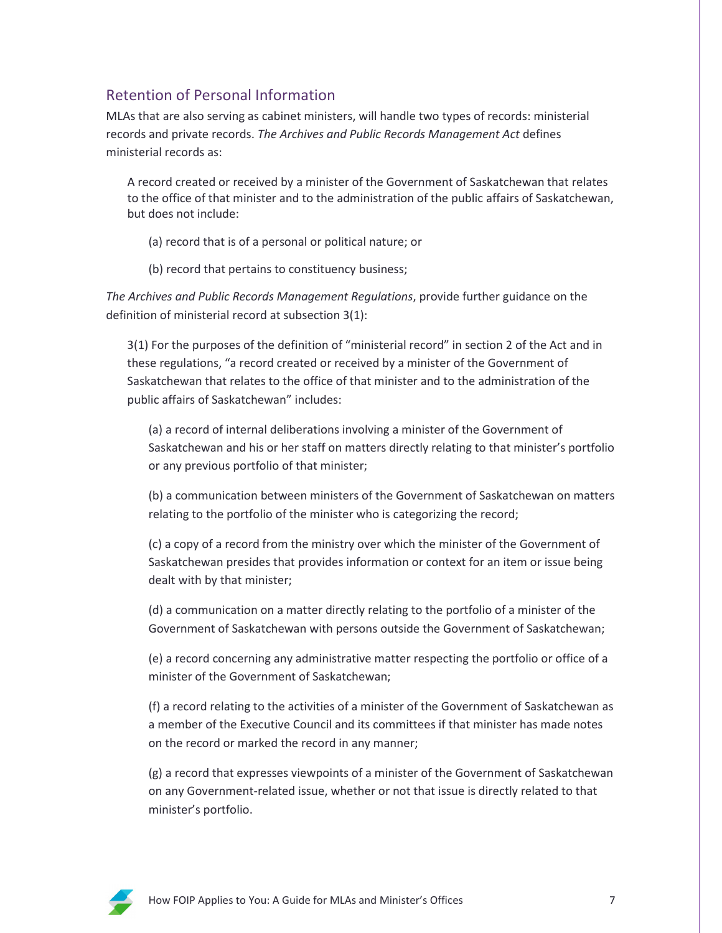## Retention of Personal Information

MLAs that are also serving as cabinet ministers, will handle two types of records: ministerial records and private records. *The Archives and Public Records Management Act* defines ministerial records as:

A record created or received by a minister of the Government of Saskatchewan that relates to the office of that minister and to the administration of the public affairs of Saskatchewan, but does not include:

(a) record that is of a personal or political nature; or

(b) record that pertains to constituency business;

*The Archives and Public Records Management Regulations*, provide further guidance on the definition of ministerial record at subsection 3(1):

3(1) For the purposes of the definition of "ministerial record" in section 2 of the Act and in these regulations, "a record created or received by a minister of the Government of Saskatchewan that relates to the office of that minister and to the administration of the public affairs of Saskatchewan" includes:

(a) a record of internal deliberations involving a minister of the Government of Saskatchewan and his or her staff on matters directly relating to that minister's portfolio or any previous portfolio of that minister;

(b) a communication between ministers of the Government of Saskatchewan on matters relating to the portfolio of the minister who is categorizing the record;

(c) a copy of a record from the ministry over which the minister of the Government of Saskatchewan presides that provides information or context for an item or issue being dealt with by that minister;

(d) a communication on a matter directly relating to the portfolio of a minister of the Government of Saskatchewan with persons outside the Government of Saskatchewan;

(e) a record concerning any administrative matter respecting the portfolio or office of a minister of the Government of Saskatchewan;

(f) a record relating to the activities of a minister of the Government of Saskatchewan as a member of the Executive Council and its committees if that minister has made notes on the record or marked the record in any manner;

(g) a record that expresses viewpoints of a minister of the Government of Saskatchewan on any Government-related issue, whether or not that issue is directly related to that minister's portfolio.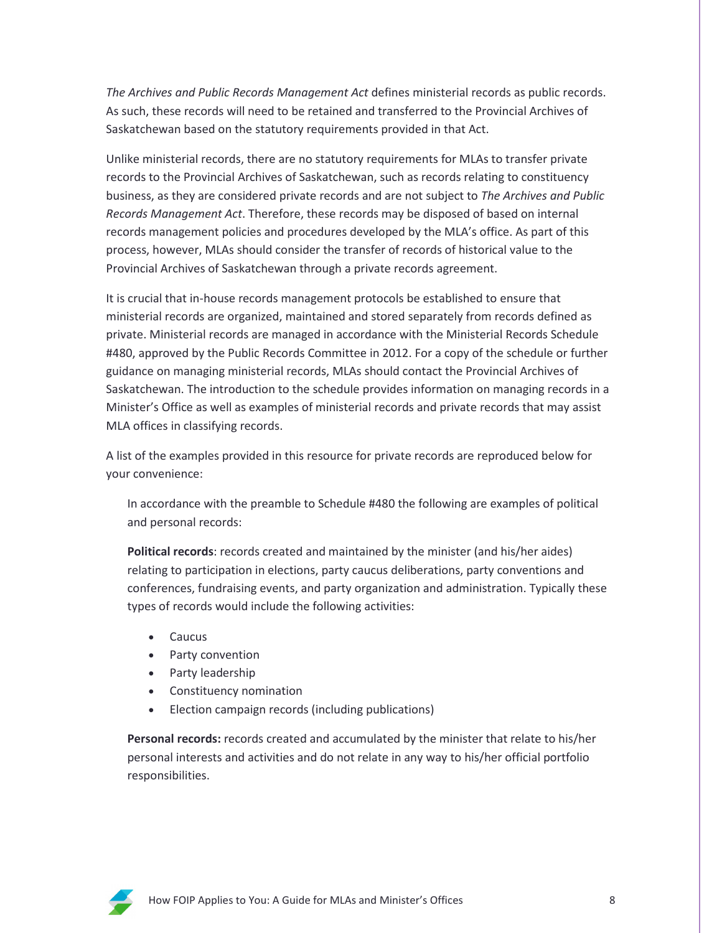*The Archives and Public Records Management Act* defines ministerial records as public records. As such, these records will need to be retained and transferred to the Provincial Archives of Saskatchewan based on the statutory requirements provided in that Act.

Unlike ministerial records, there are no statutory requirements for MLAs to transfer private records to the Provincial Archives of Saskatchewan, such as records relating to constituency business, as they are considered private records and are not subject to *The Archives and Public Records Management Act*. Therefore, these records may be disposed of based on internal records management policies and procedures developed by the MLA's office. As part of this process, however, MLAs should consider the transfer of records of historical value to the Provincial Archives of Saskatchewan through a private records agreement.

It is crucial that in-house records management protocols be established to ensure that ministerial records are organized, maintained and stored separately from records defined as private. Ministerial records are managed in accordance with the Ministerial Records Schedule #480, approved by the Public Records Committee in 2012. For a copy of the schedule or further guidance on managing ministerial records, MLAs should contact the Provincial Archives of Saskatchewan. The introduction to the schedule provides information on managing records in a Minister's Office as well as examples of ministerial records and private records that may assist MLA offices in classifying records.

A list of the examples provided in this resource for private records are reproduced below for your convenience:

In accordance with the preamble to Schedule #480 the following are examples of political and personal records:

**Political records**: records created and maintained by the minister (and his/her aides) relating to participation in elections, party caucus deliberations, party conventions and conferences, fundraising events, and party organization and administration. Typically these types of records would include the following activities:

- Caucus
- Party convention
- Party leadership
- Constituency nomination
- Election campaign records (including publications)

**Personal records:** records created and accumulated by the minister that relate to his/her personal interests and activities and do not relate in any way to his/her official portfolio responsibilities.

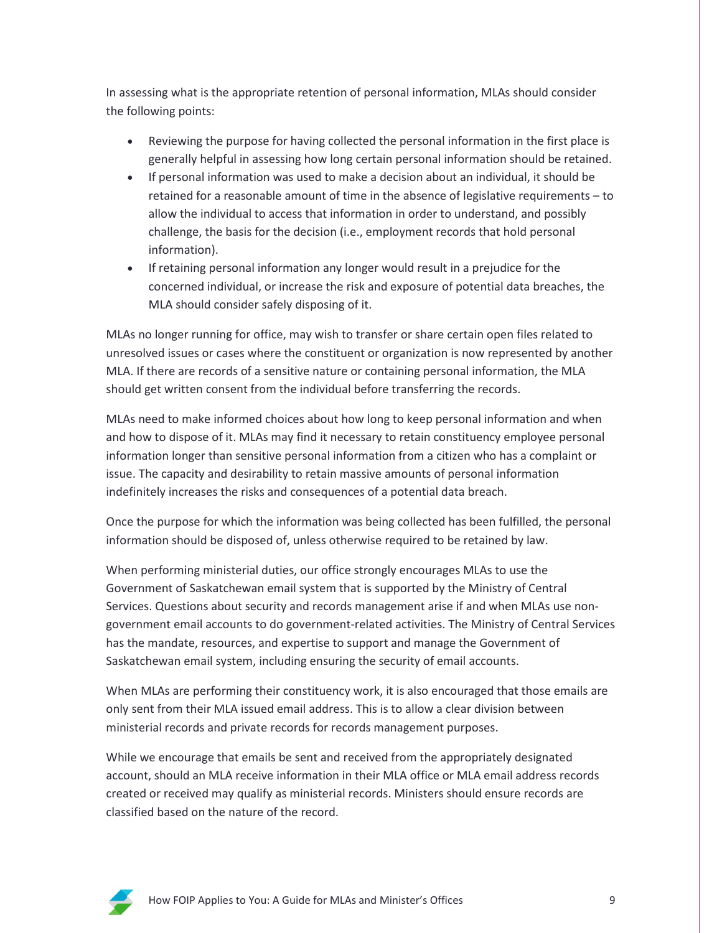In assessing what is the appropriate retention of personal information, MLAs should consider the following points:

- Reviewing the purpose for having collected the personal information in the first place is generally helpful in assessing how long certain personal information should be retained.
- If personal information was used to make a decision about an individual, it should be retained for a reasonable amount of time in the absence of legislative requirements – to allow the individual to access that information in order to understand, and possibly challenge, the basis for the decision (i.e., employment records that hold personal information).
- If retaining personal information any longer would result in a prejudice for the concerned individual, or increase the risk and exposure of potential data breaches, the MLA should consider safely disposing of it.

MLAs no longer running for office, may wish to transfer or share certain open files related to unresolved issues or cases where the constituent or organization is now represented by another MLA. If there are records of a sensitive nature or containing personal information, the MLA should get written consent from the individual before transferring the records.

MLAs need to make informed choices about how long to keep personal information and when and how to dispose of it. MLAs may find it necessary to retain constituency employee personal information longer than sensitive personal information from a citizen who has a complaint or issue. The capacity and desirability to retain massive amounts of personal information indefinitely increases the risks and consequences of a potential data breach.

Once the purpose for which the information was being collected has been fulfilled, the personal information should be disposed of, unless otherwise required to be retained by law.

When performing ministerial duties, our office strongly encourages MLAs to use the Government of Saskatchewan email system that is supported by the Ministry of Central Services. Questions about security and records management arise if and when MLAs use nongovernment email accounts to do government-related activities. The Ministry of Central Services has the mandate, resources, and expertise to support and manage the Government of Saskatchewan email system, including ensuring the security of email accounts.

When MLAs are performing their constituency work, it is also encouraged that those emails are only sent from their MLA issued email address. This is to allow a clear division between ministerial records and private records for records management purposes.

While we encourage that emails be sent and received from the appropriately designated account, should an MLA receive information in their MLA office or MLA email address records created or received may qualify as ministerial records. Ministers should ensure records are classified based on the nature of the record.

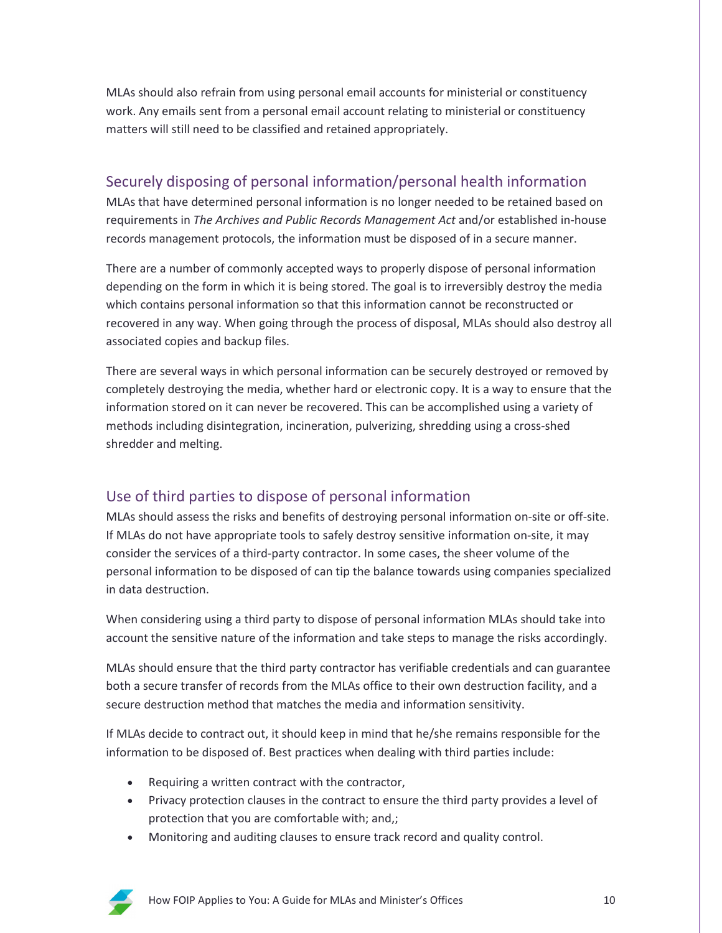MLAs should also refrain from using personal email accounts for ministerial or constituency work. Any emails sent from a personal email account relating to ministerial or constituency matters will still need to be classified and retained appropriately.

## Securely disposing of personal information/personal health information

MLAs that have determined personal information is no longer needed to be retained based on requirements in *The Archives and Public Records Management Act* and/or established in-house records management protocols, the information must be disposed of in a secure manner.

There are a number of commonly accepted ways to properly dispose of personal information depending on the form in which it is being stored. The goal is to irreversibly destroy the media which contains personal information so that this information cannot be reconstructed or recovered in any way. When going through the process of disposal, MLAs should also destroy all associated copies and backup files.

There are several ways in which personal information can be securely destroyed or removed by completely destroying the media, whether hard or electronic copy. It is a way to ensure that the information stored on it can never be recovered. This can be accomplished using a variety of methods including disintegration, incineration, pulverizing, shredding using a cross-shed shredder and melting.

## Use of third parties to dispose of personal information

MLAs should assess the risks and benefits of destroying personal information on-site or off-site. If MLAs do not have appropriate tools to safely destroy sensitive information on-site, it may consider the services of a third-party contractor. In some cases, the sheer volume of the personal information to be disposed of can tip the balance towards using companies specialized in data destruction.

When considering using a third party to dispose of personal information MLAs should take into account the sensitive nature of the information and take steps to manage the risks accordingly.

MLAs should ensure that the third party contractor has verifiable credentials and can guarantee both a secure transfer of records from the MLAs office to their own destruction facility, and a secure destruction method that matches the media and information sensitivity.

If MLAs decide to contract out, it should keep in mind that he/she remains responsible for the information to be disposed of. Best practices when dealing with third parties include:

- Requiring a written contract with the contractor,
- Privacy protection clauses in the contract to ensure the third party provides a level of protection that you are comfortable with; and,;
- Monitoring and auditing clauses to ensure track record and quality control.